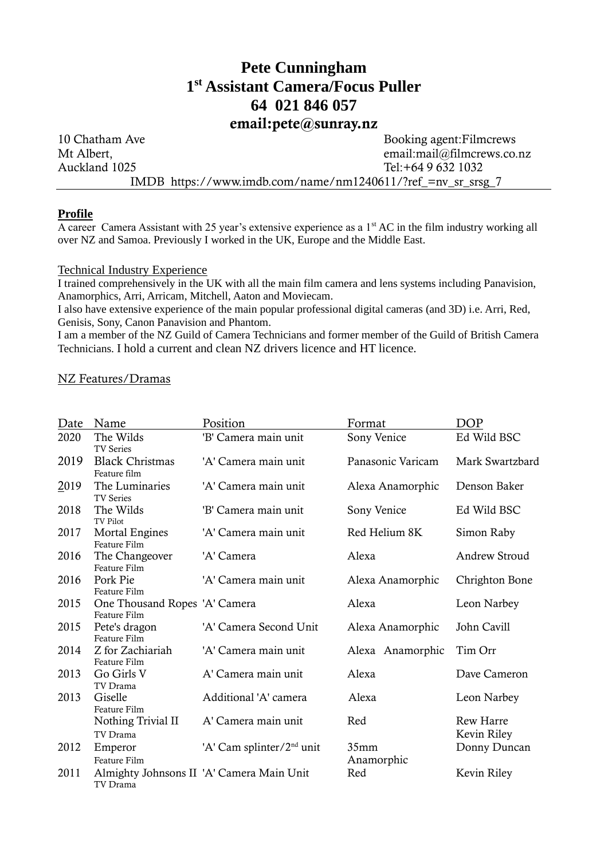# **Pete Cunningham 1 st Assistant Camera/Focus Puller 64 021 846 057**

# email:pete@sunray.nz

10 Chatham Ave Booking agent:Filmcrews Mt Albert, email:mail@filmcrews.co.nz Auckland 1025 Tel: +64 9 632 1032 IMDB https://www.imdb.com/name/nm1240611/?ref\_=nv\_sr\_srsg\_7

# **Profile**

A career Camera Assistant with 25 year's extensive experience as a 1<sup>st</sup> AC in the film industry working all over NZ and Samoa. Previously I worked in the UK, Europe and the Middle East.

#### Technical Industry Experience

I trained comprehensively in the UK with all the main film camera and lens systems including Panavision, Anamorphics, Arri, Arricam, Mitchell, Aaton and Moviecam.

I also have extensive experience of the main popular professional digital cameras (and 3D) i.e. Arri, Red, Genisis, Sony, Canon Panavision and Phantom.

I am a member of the NZ Guild of Camera Technicians and former member of the Guild of British Camera Technicians. I hold a current and clean NZ drivers licence and HT licence.

# NZ Features/Dramas

| Date | Name                                          | Position                                  | Format               | <b>DOP</b>                      |
|------|-----------------------------------------------|-------------------------------------------|----------------------|---------------------------------|
| 2020 | The Wilds<br><b>TV Series</b>                 | 'B' Camera main unit                      | Sony Venice          | Ed Wild BSC                     |
| 2019 | <b>Black Christmas</b><br>Feature film        | 'A' Camera main unit                      | Panasonic Varicam    | Mark Swartzbard                 |
| 2019 | The Luminaries<br><b>TV Series</b>            | 'A' Camera main unit                      | Alexa Anamorphic     | Denson Baker                    |
| 2018 | The Wilds<br>TV Pilot                         | 'B' Camera main unit                      | Sony Venice          | Ed Wild BSC                     |
| 2017 | <b>Mortal Engines</b><br>Feature Film         | 'A' Camera main unit                      | Red Helium 8K        | Simon Raby                      |
| 2016 | The Changeover<br>Feature Film                | 'A' Camera                                | Alexa                | Andrew Stroud                   |
| 2016 | Pork Pie<br>Feature Film                      | 'A' Camera main unit                      | Alexa Anamorphic     | Chrighton Bone                  |
| 2015 | One Thousand Ropes 'A' Camera<br>Feature Film |                                           | Alexa                | Leon Narbey                     |
| 2015 | Pete's dragon<br>Feature Film                 | 'A' Camera Second Unit                    | Alexa Anamorphic     | John Cavill                     |
| 2014 | Z for Zachiariah<br>Feature Film              | 'A' Camera main unit                      | Alexa Anamorphic     | Tim Orr                         |
| 2013 | Go Girls V<br>TV Drama                        | A' Camera main unit                       | Alexa                | Dave Cameron                    |
| 2013 | Giselle<br>Feature Film                       | Additional 'A' camera                     | Alexa                | Leon Narbey                     |
|      | Nothing Trivial II<br>TV Drama                | A' Camera main unit                       | Red                  | <b>Rew Harre</b><br>Kevin Riley |
| 2012 | Emperor<br>Feature Film                       | 'A' Cam splinter/2 <sup>nd</sup> unit     | 35mm<br>Donny Duncan |                                 |
| 2011 | TV Drama                                      | Almighty Johnsons II 'A' Camera Main Unit | Anamorphic<br>Red    | Kevin Riley                     |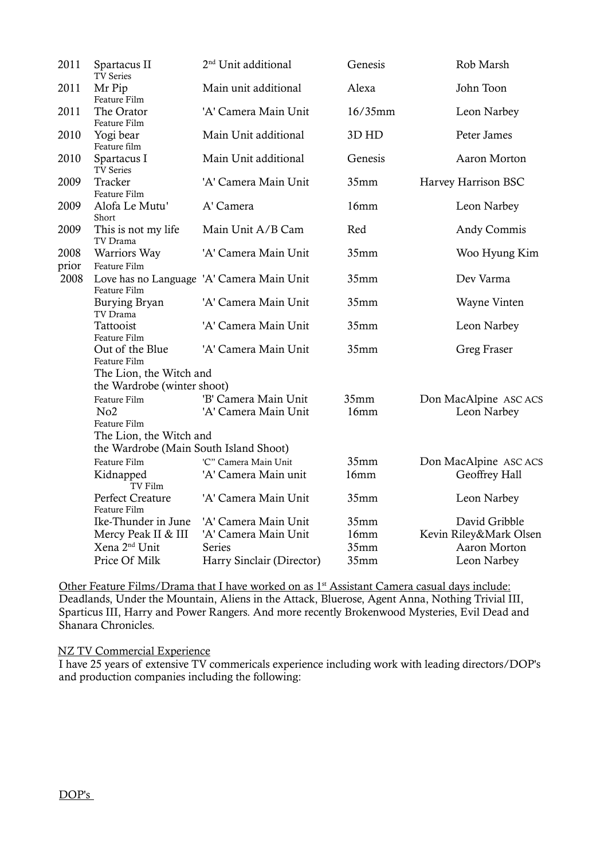| 2011          | Spartacus II<br>TV Series              | 2 <sup>nd</sup> Unit additional           | Genesis          | Rob Marsh              |  |  |  |
|---------------|----------------------------------------|-------------------------------------------|------------------|------------------------|--|--|--|
| 2011          | Mr Pip<br>Feature Film                 | Main unit additional                      | Alexa            | John Toon              |  |  |  |
| 2011          | The Orator<br>Feature Film             | 'A' Camera Main Unit                      | 16/35mm          | Leon Narbey            |  |  |  |
| 2010          | Yogi bear<br>Feature film              | Main Unit additional                      | 3D HD            | Peter James            |  |  |  |
| 2010          | Spartacus I<br>TV Series               | Main Unit additional                      | Genesis          | Aaron Morton           |  |  |  |
| 2009          | Tracker<br>Feature Film                | 'A' Camera Main Unit                      | 35mm             | Harvey Harrison BSC    |  |  |  |
| 2009          | Alofa Le Mutu'<br>Short                | A' Camera                                 | 16mm             | Leon Narbey            |  |  |  |
| 2009          | This is not my life<br>TV Drama        | Main Unit A/B Cam                         | Red              | Andy Commis            |  |  |  |
| 2008<br>prior | Warriors Way<br>Feature Film           | 'A' Camera Main Unit                      | 35mm             | Woo Hyung Kim          |  |  |  |
| 2008          | Feature Film                           | Love has no Language 'A' Camera Main Unit | 35mm             | Dev Varma              |  |  |  |
|               | Burying Bryan<br>TV Drama              | 'A' Camera Main Unit                      | 35mm             | Wayne Vinten           |  |  |  |
|               | Tattooist<br>Feature Film              | 'A' Camera Main Unit                      | 35mm             | Leon Narbey            |  |  |  |
|               | Out of the Blue<br>Feature Film        | 'A' Camera Main Unit                      | 35mm             | <b>Greg Fraser</b>     |  |  |  |
|               | The Lion, the Witch and                |                                           |                  |                        |  |  |  |
|               | the Wardrobe (winter shoot)            |                                           |                  |                        |  |  |  |
|               | Feature Film                           | 'B' Camera Main Unit                      | 35mm             | Don MacAlpine ASC ACS  |  |  |  |
|               | No <sub>2</sub>                        | 'A' Camera Main Unit                      | 16mm             | Leon Narbey            |  |  |  |
|               | Feature Film                           |                                           |                  |                        |  |  |  |
|               | The Lion, the Witch and                |                                           |                  |                        |  |  |  |
|               | the Wardrobe (Main South Island Shoot) |                                           |                  |                        |  |  |  |
|               | Feature Film                           | 'C" Camera Main Unit                      | 35mm             | Don MacAlpine ASC ACS  |  |  |  |
|               | Kidnapped<br>TV Film                   | 'A' Camera Main unit                      | 16mm             | Geoffrey Hall          |  |  |  |
|               | Perfect Creature<br>Feature Film       | 'A' Camera Main Unit                      | 35mm             | Leon Narbey            |  |  |  |
|               | Ike-Thunder in June                    | 'A' Camera Main Unit                      | 35mm             | David Gribble          |  |  |  |
|               | Mercy Peak II & III                    | 'A' Camera Main Unit                      | 16mm             | Kevin Riley&Mark Olsen |  |  |  |
|               | Xena 2 <sup>nd</sup> Unit              | <b>Series</b>                             | 35mm             | Aaron Morton           |  |  |  |
|               | Price Of Milk                          | Harry Sinclair (Director)                 | 35 <sub>mm</sub> | Leon Narbey            |  |  |  |

Other Feature Films/Drama that I have worked on as 1<sup>st</sup> Assistant Camera casual days include: Deadlands, Under the Mountain, Aliens in the Attack, Bluerose, Agent Anna, Nothing Trivial III, Sparticus III, Harry and Power Rangers. And more recently Brokenwood Mysteries, Evil Dead and Shanara Chronicles.

NZ TV Commercial Experience

I have 25 years of extensive TV commericals experience including work with leading directors/DOP's and production companies including the following: